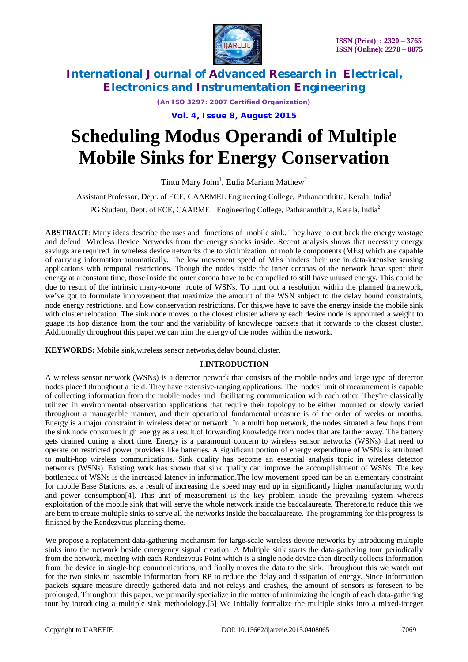

*(An ISO 3297: 2007 Certified Organization)*

**Vol. 4, Issue 8, August 2015**

# **Scheduling Modus Operandi of Multiple Mobile Sinks for Energy Conservation**

Tintu Mary John<sup>1</sup>, Eulia Mariam Mathew<sup>2</sup>

Assistant Professor, Dept. of ECE, CAARMEL Engineering College, Pathanamthitta, Kerala, India<sup>1</sup>

PG Student, Dept. of ECE, CAARMEL Engineering College, Pathanamthitta, Kerala, India<sup>2</sup>

**ABSTRACT**: Many ideas describe the uses and functions of mobile sink. They have to cut back the energy wastage and defend Wireless Device Networks from the energy shacks inside. Recent analysis shows that necessary energy savings are required in wireless device networks due to victimization of mobile components (MEs) which are capable of carrying information automatically. The low movement speed of MEs hinders their use in data-intensive sensing applications with temporal restrictions. Though the nodes inside the inner coronas of the network have spent their energy at a constant time, those inside the outer corona have to be compelled to still have unused energy. This could be due to result of the intrinsic many-to-one route of WSNs. To hunt out a resolution within the planned framework, we've got to formulate improvement that maximize the amount of the WSN subject to the delay bound constraints, node energy restrictions, and flow conservation restrictions. For this,we have to save the energy inside the mobile sink with cluster relocation. The sink node moves to the closest cluster whereby each device node is appointed a weight to guage its hop distance from the tour and the variability of knowledge packets that it forwards to the closest cluster. Additionally throughout this paper,we can trim the energy of the nodes within the network**.**

**KEYWORDS:** Mobile sink,wireless sensor networks,delay bound,cluster.

### **I.INTRODUCTION**

A wireless sensor network (WSNs) is a detector network that consists of the mobile nodes and large type of detector nodes placed throughout a field. They have extensive-ranging applications. The nodes' unit of measurement is capable of collecting information from the mobile nodes and facilitating communication with each other. They're classically utilized in environmental observation applications that require their topology to be either mounted or slowly varied throughout a manageable manner, and their operational fundamental measure is of the order of weeks or months. Energy is a major constraint in wireless detector network. In a multi hop network, the nodes situated a few hops from the sink node consumes high energy as a result of forwarding knowledge from nodes that are farther away. The battery gets drained during a short time. Energy is a paramount concern to wireless sensor networks (WSNs) that need to operate on restricted power providers like batteries. A significant portion of energy expenditure of WSNs is attributed to multi-hop wireless communications. Sink quality has become an essential analysis topic in wireless detector networks (WSNs). Existing work has shown that sink quality can improve the accomplishment of WSNs. The key bottleneck of WSNs is the increased latency in information.The low movement speed can be an elementary constraint for mobile Base Stations, as, a result of increasing the speed may end up in significantly higher manufacturing worth and power consumption[4]. This unit of measurement is the key problem inside the prevailing system whereas exploitation of the mobile sink that will serve the whole network inside the baccalaureate. Therefore,to reduce this we are bent to create multiple sinks to serve all the networks inside the baccalaureate. The programming for this progress is finished by the Rendezvous planning theme.

We propose a replacement data-gathering mechanism for large-scale wireless device networks by introducing multiple sinks into the network beside emergency signal creation. A Multiple sink starts the data-gathering tour periodically from the network, meeting with each Rendezvous Point which is a single node device then directly collects information from the device in single-hop communications, and finally moves the data to the sink..Throughout this we watch out for the two sinks to assemble information from RP to reduce the delay and dissipation of energy. Since information packets square measure directly gathered data and not relays and crashes, the amount of sensors is foreseen to be prolonged. Throughout this paper, we primarily specialize in the matter of minimizing the length of each data-gathering tour by introducing a multiple sink methodology.[5] We initially formalize the multiple sinks into a mixed-integer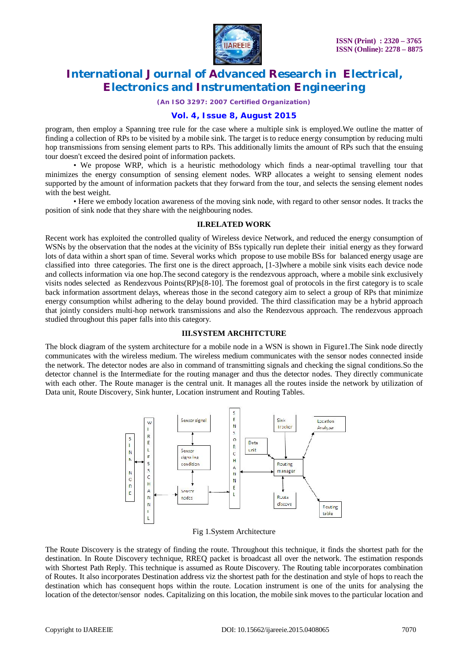

*(An ISO 3297: 2007 Certified Organization)*

### **Vol. 4, Issue 8, August 2015**

program, then employ a Spanning tree rule for the case where a multiple sink is employed.We outline the matter of finding a collection of RPs to be visited by a mobile sink. The target is to reduce energy consumption by reducing multi hop transmissions from sensing element parts to RPs. This additionally limits the amount of RPs such that the ensuing tour doesn't exceed the desired point of information packets.

 • We propose WRP, which is a heuristic methodology which finds a near-optimal travelling tour that minimizes the energy consumption of sensing element nodes. WRP allocates a weight to sensing element nodes supported by the amount of information packets that they forward from the tour, and selects the sensing element nodes with the best weight.

 • Here we embody location awareness of the moving sink node, with regard to other sensor nodes. It tracks the position of sink node that they share with the neighbouring nodes.

#### **II.RELATED WORK**

Recent work has exploited the controlled quality of Wireless device Network, and reduced the energy consumption of WSNs by the observation that the nodes at the vicinity of BSs typically run deplete their initial energy as they forward lots of data within a short span of time. Several works which propose to use mobile BSs for balanced energy usage are classified into three categories. The first one is the direct approach, [1-3]where a mobile sink visits each device node and collects information via one hop.The second category is the rendezvous approach, where a mobile sink exclusively visits nodes selected as Rendezvous Points(RP)s[8-10]. The foremost goal of protocols in the first category is to scale back information assortment delays, whereas those in the second category aim to select a group of RPs that minimize energy consumption whilst adhering to the delay bound provided. The third classification may be a hybrid approach that jointly considers multi-hop network transmissions and also the Rendezvous approach. The rendezvous approach studied throughout this paper falls into this category.

### **III.SYSTEM ARCHITCTURE**

The block diagram of the system architecture for a mobile node in a WSN is shown in Figure1.The Sink node directly communicates with the wireless medium. The wireless medium communicates with the sensor nodes connected inside the network. The detector nodes are also in command of transmitting signals and checking the signal conditions.So the detector channel is the Intermediate for the routing manager and thus the detector nodes. They directly communicate with each other. The Route manager is the central unit. It manages all the routes inside the network by utilization of Data unit, Route Discovery, Sink hunter, Location instrument and Routing Tables.



### Fig 1.System Architecture

The Route Discovery is the strategy of finding the route. Throughout this technique, it finds the shortest path for the destination. In Route Discovery technique, RREQ packet is broadcast all over the network. The estimation responds with Shortest Path Reply. This technique is assumed as Route Discovery. The Routing table incorporates combination of Routes. It also incorporates Destination address viz the shortest path for the destination and style of hops to reach the destination which has consequent hops within the route. Location instrument is one of the units for analysing the location of the detector/sensor nodes. Capitalizing on this location, the mobile sink moves to the particular location and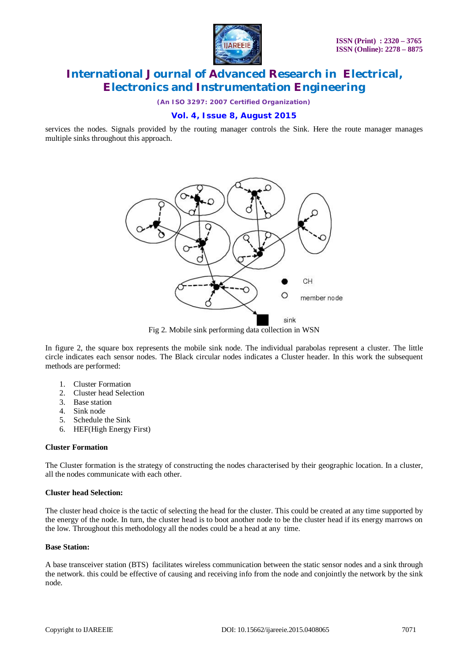

*(An ISO 3297: 2007 Certified Organization)*

### **Vol. 4, Issue 8, August 2015**

services the nodes. Signals provided by the routing manager controls the Sink. Here the route manager manages multiple sinks throughout this approach.



Fig 2. Mobile sink performing data collection in WSN

In figure 2, the square box represents the mobile sink node. The individual parabolas represent a cluster. The little circle indicates each sensor nodes. The Black circular nodes indicates a Cluster header. In this work the subsequent methods are performed:

- 1. Cluster Formation
- 2. Cluster head Selection
- 3. Base station
- 4. Sink node
- 5. Schedule the Sink
- 6. HEF(High Energy First)

### **Cluster Formation**

The Cluster formation is the strategy of constructing the nodes characterised by their geographic location. In a cluster, all the nodes communicate with each other.

### **Cluster head Selection:**

The cluster head choice is the tactic of selecting the head for the cluster. This could be created at any time supported by the energy of the node. In turn, the cluster head is to boot another node to be the cluster head if its energy marrows on the low. Throughout this methodology all the nodes could be a head at any time.

#### **Base Station:**

A base transceiver station (BTS) facilitates wireless communication between the static sensor nodes and a sink through the network. this could be effective of causing and receiving info from the node and conjointly the network by the sink node.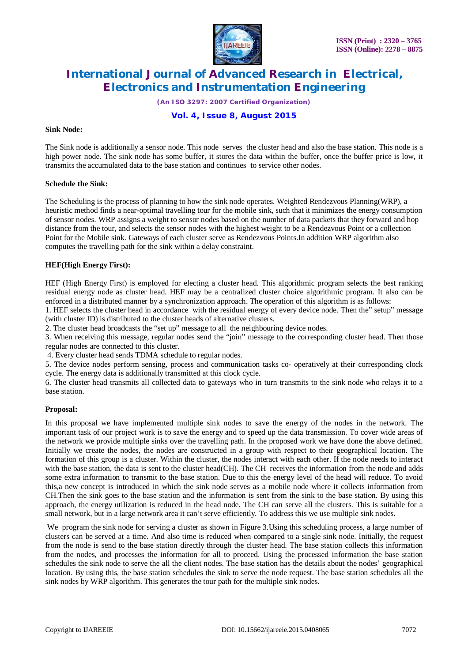

*(An ISO 3297: 2007 Certified Organization)*

### **Vol. 4, Issue 8, August 2015**

#### **Sink Node:**

The Sink node is additionally a sensor node. This node serves the cluster head and also the base station. This node is a high power node. The sink node has some buffer, it stores the data within the buffer, once the buffer price is low, it transmits the accumulated data to the base station and continues to service other nodes.

#### **Schedule the Sink:**

The Scheduling is the process of planning to how the sink node operates. Weighted Rendezvous Planning(WRP), a heuristic method finds a near-optimal travelling tour for the mobile sink, such that it minimizes the energy consumption of sensor nodes. WRP assigns a weight to sensor nodes based on the number of data packets that they forward and hop distance from the tour, and selects the sensor nodes with the highest weight to be a Rendezvous Point or a collection Point for the Mobile sink. Gateways of each cluster serve as Rendezvous Points.In addition WRP algorithm also computes the travelling path for the sink within a delay constraint.

### **HEF(High Energy First):**

HEF (High Energy First) is employed for electing a cluster head. This algorithmic program selects the best ranking residual energy node as cluster head. HEF may be a centralized cluster choice algorithmic program. It also can be enforced in a distributed manner by a synchronization approach. The operation of this algorithm is as follows:

1. HEF selects the cluster head in accordance with the residual energy of every device node. Then the" setup" message (with cluster ID) is distributed to the cluster heads of alternative clusters.

2. The cluster head broadcasts the "set up" message to all the neighbouring device nodes.

3. When receiving this message, regular nodes send the "join" message to the corresponding cluster head. Then those regular nodes are connected to this cluster.

4. Every cluster head sends TDMA schedule to regular nodes.

5. The device nodes perform sensing, process and communication tasks co- operatively at their corresponding clock cycle. The energy data is additionally transmitted at this clock cycle.

6. The cluster head transmits all collected data to gateways who in turn transmits to the sink node who relays it to a base station.

#### **Proposal:**

In this proposal we have implemented multiple sink nodes to save the energy of the nodes in the network. The important task of our project work is to save the energy and to speed up the data transmission. To cover wide areas of the network we provide multiple sinks over the travelling path. In the proposed work we have done the above defined. Initially we create the nodes, the nodes are constructed in a group with respect to their geographical location. The formation of this group is a cluster. Within the cluster, the nodes interact with each other. If the node needs to interact with the base station, the data is sent to the cluster head(CH). The CH receives the information from the node and adds some extra information to transmit to the base station. Due to this the energy level of the head will reduce. To avoid this,a new concept is introduced in which the sink node serves as a mobile node where it collects information from CH.Then the sink goes to the base station and the information is sent from the sink to the base station. By using this approach, the energy utilization is reduced in the head node. The CH can serve all the clusters. This is suitable for a small network, but in a large network area it can't serve efficiently. To address this we use multiple sink nodes.

We program the sink node for serving a cluster as shown in Figure 3. Using this scheduling process, a large number of clusters can be served at a time. And also time is reduced when compared to a single sink node. Initially, the request from the node is send to the base station directly through the cluster head. The base station collects this information from the nodes, and processes the information for all to proceed. Using the processed information the base station schedules the sink node to serve the all the client nodes. The base station has the details about the nodes' geographical location. By using this, the base station schedules the sink to serve the node request. The base station schedules all the sink nodes by WRP algorithm. This generates the tour path for the multiple sink nodes.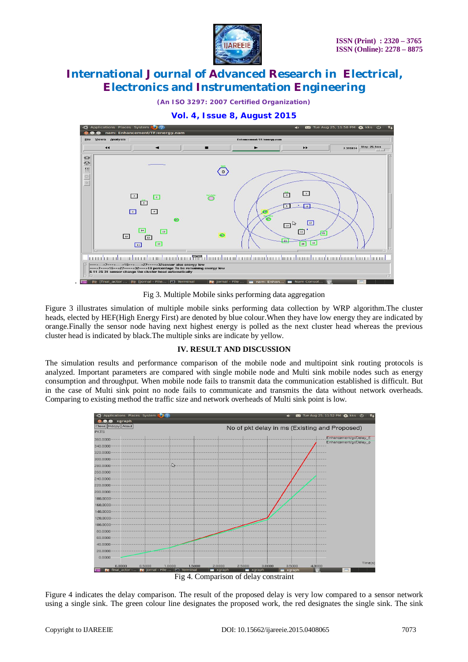

*(An ISO 3297: 2007 Certified Organization)*





Fig 3. Multiple Mobile sinks performing data aggregation

Figure 3 illustrates simulation of multiple mobile sinks performing data collection by WRP algorithm.The cluster heads, elected by HEF(High Energy First) are denoted by blue colour.When they have low energy they are indicated by orange.Finally the sensor node having next highest energy is polled as the next cluster head whereas the previous cluster head is indicated by black.The multiple sinks are indicate by yellow.

### **IV. RESULT AND DISCUSSION**

The simulation results and performance comparison of the mobile node and multipoint sink routing protocols is analyzed. Important parameters are compared with single mobile node and Multi sink mobile nodes such as energy consumption and throughput. When mobile node fails to transmit data the communication established is difficult. But in the case of Multi sink point no node fails to communicate and transmits the data without network overheads. Comparing to existing method the traffic size and network overheads of Multi sink point is low.



Figure 4 indicates the delay comparison. The result of the proposed delay is very low compared to a sensor network using a single sink. The green colour line designates the proposed work, the red designates the single sink. The sink